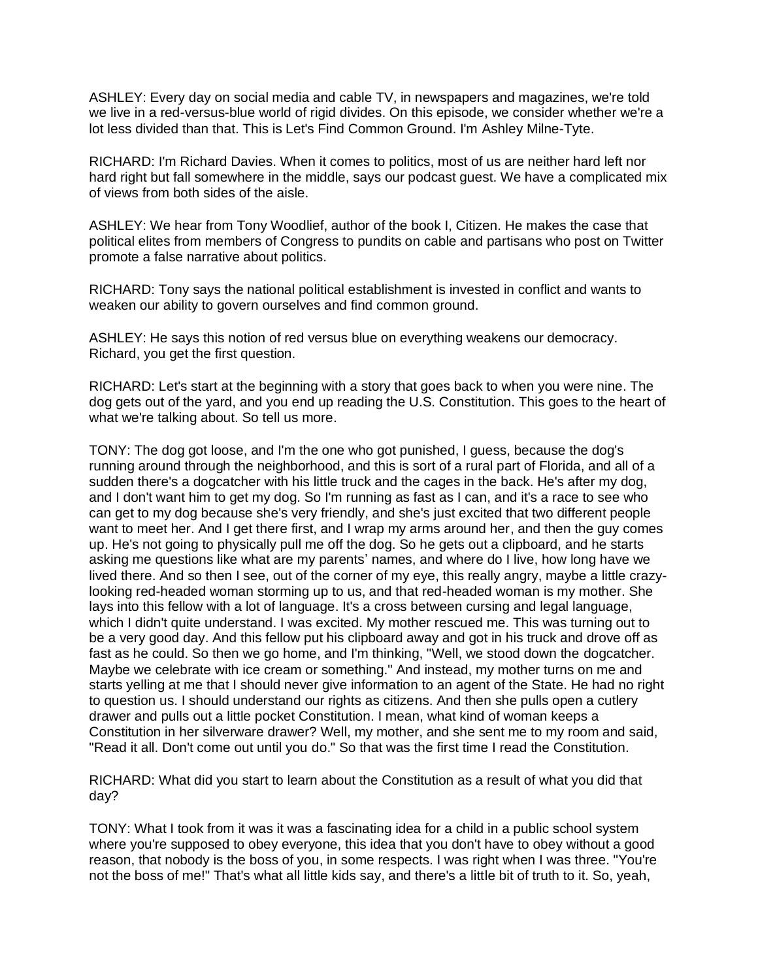ASHLEY: Every day on social media and cable TV, in newspapers and magazines, we're told we live in a red-versus-blue world of rigid divides. On this episode, we consider whether we're a lot less divided than that. This is Let's Find Common Ground. I'm Ashley Milne-Tyte.

RICHARD: I'm Richard Davies. When it comes to politics, most of us are neither hard left nor hard right but fall somewhere in the middle, says our podcast guest. We have a complicated mix of views from both sides of the aisle.

ASHLEY: We hear from Tony Woodlief, author of the book I, Citizen. He makes the case that political elites from members of Congress to pundits on cable and partisans who post on Twitter promote a false narrative about politics.

RICHARD: Tony says the national political establishment is invested in conflict and wants to weaken our ability to govern ourselves and find common ground.

ASHLEY: He says this notion of red versus blue on everything weakens our democracy. Richard, you get the first question.

RICHARD: Let's start at the beginning with a story that goes back to when you were nine. The dog gets out of the yard, and you end up reading the U.S. Constitution. This goes to the heart of what we're talking about. So tell us more.

TONY: The dog got loose, and I'm the one who got punished, I guess, because the dog's running around through the neighborhood, and this is sort of a rural part of Florida, and all of a sudden there's a dogcatcher with his little truck and the cages in the back. He's after my dog, and I don't want him to get my dog. So I'm running as fast as I can, and it's a race to see who can get to my dog because she's very friendly, and she's just excited that two different people want to meet her. And I get there first, and I wrap my arms around her, and then the guy comes up. He's not going to physically pull me off the dog. So he gets out a clipboard, and he starts asking me questions like what are my parents' names, and where do I live, how long have we lived there. And so then I see, out of the corner of my eye, this really angry, maybe a little crazylooking red-headed woman storming up to us, and that red-headed woman is my mother. She lays into this fellow with a lot of language. It's a cross between cursing and legal language, which I didn't quite understand. I was excited. My mother rescued me. This was turning out to be a very good day. And this fellow put his clipboard away and got in his truck and drove off as fast as he could. So then we go home, and I'm thinking, "Well, we stood down the dogcatcher. Maybe we celebrate with ice cream or something." And instead, my mother turns on me and starts yelling at me that I should never give information to an agent of the State. He had no right to question us. I should understand our rights as citizens. And then she pulls open a cutlery drawer and pulls out a little pocket Constitution. I mean, what kind of woman keeps a Constitution in her silverware drawer? Well, my mother, and she sent me to my room and said, "Read it all. Don't come out until you do." So that was the first time I read the Constitution.

RICHARD: What did you start to learn about the Constitution as a result of what you did that day?

TONY: What I took from it was it was a fascinating idea for a child in a public school system where you're supposed to obey everyone, this idea that you don't have to obey without a good reason, that nobody is the boss of you, in some respects. I was right when I was three. "You're not the boss of me!" That's what all little kids say, and there's a little bit of truth to it. So, yeah,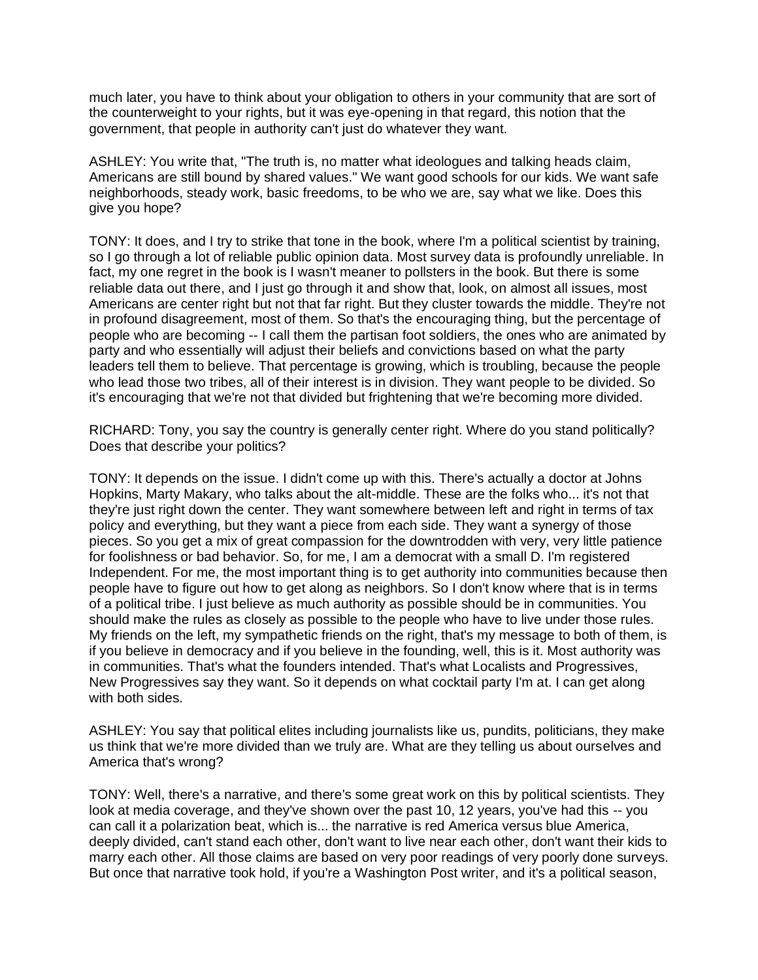much later, you have to think about your obligation to others in your community that are sort of the counterweight to your rights, but it was eye-opening in that regard, this notion that the government, that people in authority can't just do whatever they want.

ASHLEY: You write that, "The truth is, no matter what ideologues and talking heads claim, Americans are still bound by shared values." We want good schools for our kids. We want safe neighborhoods, steady work, basic freedoms, to be who we are, say what we like. Does this give you hope?

TONY: It does, and I try to strike that tone in the book, where I'm a political scientist by training, so I go through a lot of reliable public opinion data. Most survey data is profoundly unreliable. In fact, my one regret in the book is I wasn't meaner to pollsters in the book. But there is some reliable data out there, and I just go through it and show that, look, on almost all issues, most Americans are center right but not that far right. But they cluster towards the middle. They're not in profound disagreement, most of them. So that's the encouraging thing, but the percentage of people who are becoming -- I call them the partisan foot soldiers, the ones who are animated by party and who essentially will adjust their beliefs and convictions based on what the party leaders tell them to believe. That percentage is growing, which is troubling, because the people who lead those two tribes, all of their interest is in division. They want people to be divided. So it's encouraging that we're not that divided but frightening that we're becoming more divided.

RICHARD: Tony, you say the country is generally center right. Where do you stand politically? Does that describe your politics?

TONY: It depends on the issue. I didn't come up with this. There's actually a doctor at Johns Hopkins, Marty Makary, who talks about the alt-middle. These are the folks who... it's not that they're just right down the center. They want somewhere between left and right in terms of tax policy and everything, but they want a piece from each side. They want a synergy of those pieces. So you get a mix of great compassion for the downtrodden with very, very little patience for foolishness or bad behavior. So, for me, I am a democrat with a small D. I'm registered Independent. For me, the most important thing is to get authority into communities because then people have to figure out how to get along as neighbors. So I don't know where that is in terms of a political tribe. I just believe as much authority as possible should be in communities. You should make the rules as closely as possible to the people who have to live under those rules. My friends on the left, my sympathetic friends on the right, that's my message to both of them, is if you believe in democracy and if you believe in the founding, well, this is it. Most authority was in communities. That's what the founders intended. That's what Localists and Progressives, New Progressives say they want. So it depends on what cocktail party I'm at. I can get along with both sides.

ASHLEY: You say that political elites including journalists like us, pundits, politicians, they make us think that we're more divided than we truly are. What are they telling us about ourselves and America that's wrong?

TONY: Well, there's a narrative, and there's some great work on this by political scientists. They look at media coverage, and they've shown over the past 10, 12 years, you've had this -- you can call it a polarization beat, which is... the narrative is red America versus blue America, deeply divided, can't stand each other, don't want to live near each other, don't want their kids to marry each other. All those claims are based on very poor readings of very poorly done surveys. But once that narrative took hold, if you're a Washington Post writer, and it's a political season,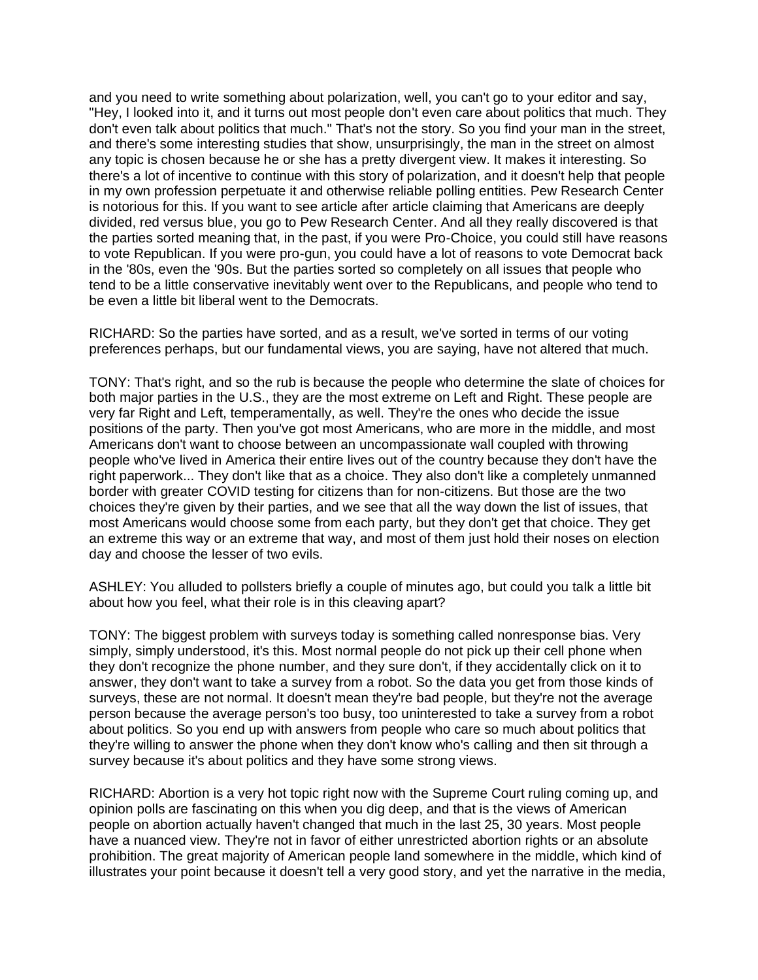and you need to write something about polarization, well, you can't go to your editor and say, "Hey, I looked into it, and it turns out most people don't even care about politics that much. They don't even talk about politics that much." That's not the story. So you find your man in the street, and there's some interesting studies that show, unsurprisingly, the man in the street on almost any topic is chosen because he or she has a pretty divergent view. It makes it interesting. So there's a lot of incentive to continue with this story of polarization, and it doesn't help that people in my own profession perpetuate it and otherwise reliable polling entities. Pew Research Center is notorious for this. If you want to see article after article claiming that Americans are deeply divided, red versus blue, you go to Pew Research Center. And all they really discovered is that the parties sorted meaning that, in the past, if you were Pro-Choice, you could still have reasons to vote Republican. If you were pro-gun, you could have a lot of reasons to vote Democrat back in the '80s, even the '90s. But the parties sorted so completely on all issues that people who tend to be a little conservative inevitably went over to the Republicans, and people who tend to be even a little bit liberal went to the Democrats.

RICHARD: So the parties have sorted, and as a result, we've sorted in terms of our voting preferences perhaps, but our fundamental views, you are saying, have not altered that much.

TONY: That's right, and so the rub is because the people who determine the slate of choices for both major parties in the U.S., they are the most extreme on Left and Right. These people are very far Right and Left, temperamentally, as well. They're the ones who decide the issue positions of the party. Then you've got most Americans, who are more in the middle, and most Americans don't want to choose between an uncompassionate wall coupled with throwing people who've lived in America their entire lives out of the country because they don't have the right paperwork... They don't like that as a choice. They also don't like a completely unmanned border with greater COVID testing for citizens than for non-citizens. But those are the two choices they're given by their parties, and we see that all the way down the list of issues, that most Americans would choose some from each party, but they don't get that choice. They get an extreme this way or an extreme that way, and most of them just hold their noses on election day and choose the lesser of two evils.

ASHLEY: You alluded to pollsters briefly a couple of minutes ago, but could you talk a little bit about how you feel, what their role is in this cleaving apart?

TONY: The biggest problem with surveys today is something called nonresponse bias. Very simply, simply understood, it's this. Most normal people do not pick up their cell phone when they don't recognize the phone number, and they sure don't, if they accidentally click on it to answer, they don't want to take a survey from a robot. So the data you get from those kinds of surveys, these are not normal. It doesn't mean they're bad people, but they're not the average person because the average person's too busy, too uninterested to take a survey from a robot about politics. So you end up with answers from people who care so much about politics that they're willing to answer the phone when they don't know who's calling and then sit through a survey because it's about politics and they have some strong views.

RICHARD: Abortion is a very hot topic right now with the Supreme Court ruling coming up, and opinion polls are fascinating on this when you dig deep, and that is the views of American people on abortion actually haven't changed that much in the last 25, 30 years. Most people have a nuanced view. They're not in favor of either unrestricted abortion rights or an absolute prohibition. The great majority of American people land somewhere in the middle, which kind of illustrates your point because it doesn't tell a very good story, and yet the narrative in the media,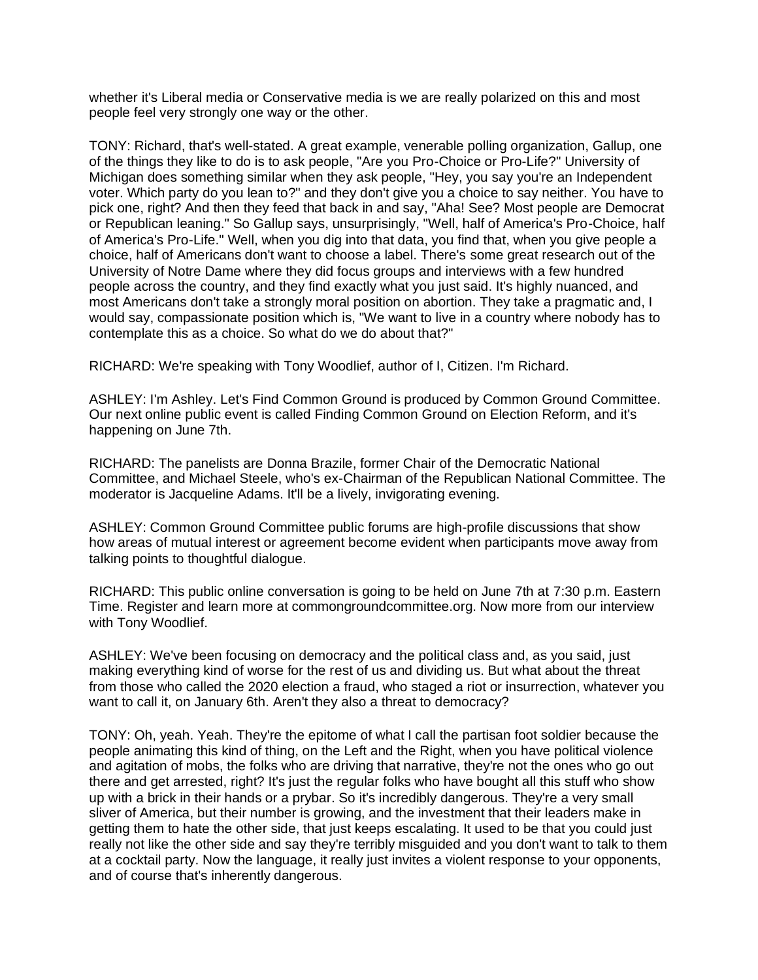whether it's Liberal media or Conservative media is we are really polarized on this and most people feel very strongly one way or the other.

TONY: Richard, that's well-stated. A great example, venerable polling organization, Gallup, one of the things they like to do is to ask people, "Are you Pro-Choice or Pro-Life?" University of Michigan does something similar when they ask people, "Hey, you say you're an Independent voter. Which party do you lean to?" and they don't give you a choice to say neither. You have to pick one, right? And then they feed that back in and say, "Aha! See? Most people are Democrat or Republican leaning." So Gallup says, unsurprisingly, "Well, half of America's Pro-Choice, half of America's Pro-Life." Well, when you dig into that data, you find that, when you give people a choice, half of Americans don't want to choose a label. There's some great research out of the University of Notre Dame where they did focus groups and interviews with a few hundred people across the country, and they find exactly what you just said. It's highly nuanced, and most Americans don't take a strongly moral position on abortion. They take a pragmatic and, I would say, compassionate position which is, "We want to live in a country where nobody has to contemplate this as a choice. So what do we do about that?"

RICHARD: We're speaking with Tony Woodlief, author of I, Citizen. I'm Richard.

ASHLEY: I'm Ashley. Let's Find Common Ground is produced by Common Ground Committee. Our next online public event is called Finding Common Ground on Election Reform, and it's happening on June 7th.

RICHARD: The panelists are Donna Brazile, former Chair of the Democratic National Committee, and Michael Steele, who's ex-Chairman of the Republican National Committee. The moderator is Jacqueline Adams. It'll be a lively, invigorating evening.

ASHLEY: Common Ground Committee public forums are high-profile discussions that show how areas of mutual interest or agreement become evident when participants move away from talking points to thoughtful dialogue.

RICHARD: This public online conversation is going to be held on June 7th at 7:30 p.m. Eastern Time. Register and learn more at commongroundcommittee.org. Now more from our interview with Tony Woodlief.

ASHLEY: We've been focusing on democracy and the political class and, as you said, just making everything kind of worse for the rest of us and dividing us. But what about the threat from those who called the 2020 election a fraud, who staged a riot or insurrection, whatever you want to call it, on January 6th. Aren't they also a threat to democracy?

TONY: Oh, yeah. Yeah. They're the epitome of what I call the partisan foot soldier because the people animating this kind of thing, on the Left and the Right, when you have political violence and agitation of mobs, the folks who are driving that narrative, they're not the ones who go out there and get arrested, right? It's just the regular folks who have bought all this stuff who show up with a brick in their hands or a prybar. So it's incredibly dangerous. They're a very small sliver of America, but their number is growing, and the investment that their leaders make in getting them to hate the other side, that just keeps escalating. It used to be that you could just really not like the other side and say they're terribly misguided and you don't want to talk to them at a cocktail party. Now the language, it really just invites a violent response to your opponents, and of course that's inherently dangerous.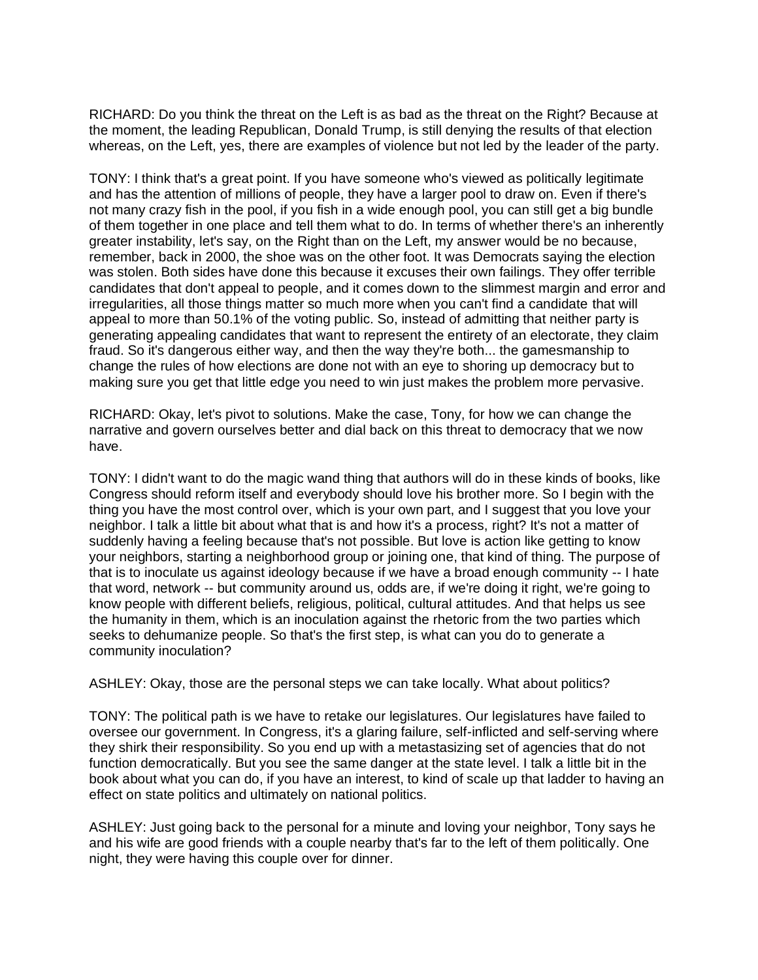RICHARD: Do you think the threat on the Left is as bad as the threat on the Right? Because at the moment, the leading Republican, Donald Trump, is still denying the results of that election whereas, on the Left, yes, there are examples of violence but not led by the leader of the party.

TONY: I think that's a great point. If you have someone who's viewed as politically legitimate and has the attention of millions of people, they have a larger pool to draw on. Even if there's not many crazy fish in the pool, if you fish in a wide enough pool, you can still get a big bundle of them together in one place and tell them what to do. In terms of whether there's an inherently greater instability, let's say, on the Right than on the Left, my answer would be no because, remember, back in 2000, the shoe was on the other foot. It was Democrats saying the election was stolen. Both sides have done this because it excuses their own failings. They offer terrible candidates that don't appeal to people, and it comes down to the slimmest margin and error and irregularities, all those things matter so much more when you can't find a candidate that will appeal to more than 50.1% of the voting public. So, instead of admitting that neither party is generating appealing candidates that want to represent the entirety of an electorate, they claim fraud. So it's dangerous either way, and then the way they're both... the gamesmanship to change the rules of how elections are done not with an eye to shoring up democracy but to making sure you get that little edge you need to win just makes the problem more pervasive.

RICHARD: Okay, let's pivot to solutions. Make the case, Tony, for how we can change the narrative and govern ourselves better and dial back on this threat to democracy that we now have.

TONY: I didn't want to do the magic wand thing that authors will do in these kinds of books, like Congress should reform itself and everybody should love his brother more. So I begin with the thing you have the most control over, which is your own part, and I suggest that you love your neighbor. I talk a little bit about what that is and how it's a process, right? It's not a matter of suddenly having a feeling because that's not possible. But love is action like getting to know your neighbors, starting a neighborhood group or joining one, that kind of thing. The purpose of that is to inoculate us against ideology because if we have a broad enough community -- I hate that word, network -- but community around us, odds are, if we're doing it right, we're going to know people with different beliefs, religious, political, cultural attitudes. And that helps us see the humanity in them, which is an inoculation against the rhetoric from the two parties which seeks to dehumanize people. So that's the first step, is what can you do to generate a community inoculation?

ASHLEY: Okay, those are the personal steps we can take locally. What about politics?

TONY: The political path is we have to retake our legislatures. Our legislatures have failed to oversee our government. In Congress, it's a glaring failure, self-inflicted and self-serving where they shirk their responsibility. So you end up with a metastasizing set of agencies that do not function democratically. But you see the same danger at the state level. I talk a little bit in the book about what you can do, if you have an interest, to kind of scale up that ladder to having an effect on state politics and ultimately on national politics.

ASHLEY: Just going back to the personal for a minute and loving your neighbor, Tony says he and his wife are good friends with a couple nearby that's far to the left of them politically. One night, they were having this couple over for dinner.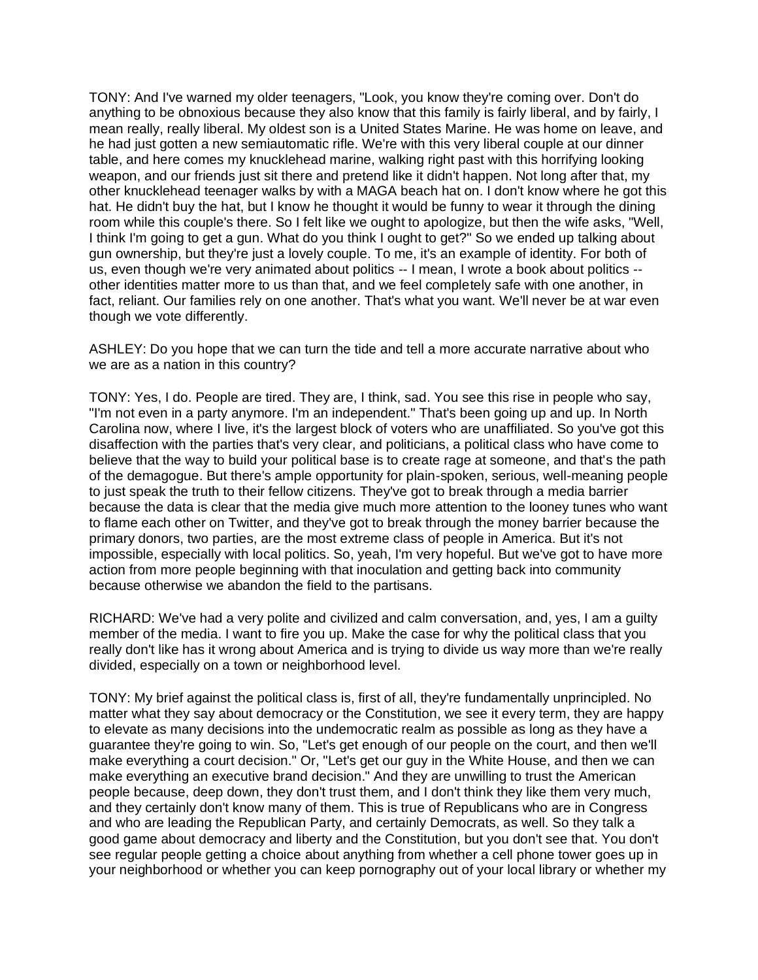TONY: And I've warned my older teenagers, "Look, you know they're coming over. Don't do anything to be obnoxious because they also know that this family is fairly liberal, and by fairly, I mean really, really liberal. My oldest son is a United States Marine. He was home on leave, and he had just gotten a new semiautomatic rifle. We're with this very liberal couple at our dinner table, and here comes my knucklehead marine, walking right past with this horrifying looking weapon, and our friends just sit there and pretend like it didn't happen. Not long after that, my other knucklehead teenager walks by with a MAGA beach hat on. I don't know where he got this hat. He didn't buy the hat, but I know he thought it would be funny to wear it through the dining room while this couple's there. So I felt like we ought to apologize, but then the wife asks, "Well, I think I'm going to get a gun. What do you think I ought to get?" So we ended up talking about gun ownership, but they're just a lovely couple. To me, it's an example of identity. For both of us, even though we're very animated about politics -- I mean, I wrote a book about politics - other identities matter more to us than that, and we feel completely safe with one another, in fact, reliant. Our families rely on one another. That's what you want. We'll never be at war even though we vote differently.

ASHLEY: Do you hope that we can turn the tide and tell a more accurate narrative about who we are as a nation in this country?

TONY: Yes, I do. People are tired. They are, I think, sad. You see this rise in people who say, "I'm not even in a party anymore. I'm an independent." That's been going up and up. In North Carolina now, where I live, it's the largest block of voters who are unaffiliated. So you've got this disaffection with the parties that's very clear, and politicians, a political class who have come to believe that the way to build your political base is to create rage at someone, and that's the path of the demagogue. But there's ample opportunity for plain-spoken, serious, well-meaning people to just speak the truth to their fellow citizens. They've got to break through a media barrier because the data is clear that the media give much more attention to the looney tunes who want to flame each other on Twitter, and they've got to break through the money barrier because the primary donors, two parties, are the most extreme class of people in America. But it's not impossible, especially with local politics. So, yeah, I'm very hopeful. But we've got to have more action from more people beginning with that inoculation and getting back into community because otherwise we abandon the field to the partisans.

RICHARD: We've had a very polite and civilized and calm conversation, and, yes, I am a guilty member of the media. I want to fire you up. Make the case for why the political class that you really don't like has it wrong about America and is trying to divide us way more than we're really divided, especially on a town or neighborhood level.

TONY: My brief against the political class is, first of all, they're fundamentally unprincipled. No matter what they say about democracy or the Constitution, we see it every term, they are happy to elevate as many decisions into the undemocratic realm as possible as long as they have a guarantee they're going to win. So, "Let's get enough of our people on the court, and then we'll make everything a court decision." Or, "Let's get our guy in the White House, and then we can make everything an executive brand decision." And they are unwilling to trust the American people because, deep down, they don't trust them, and I don't think they like them very much, and they certainly don't know many of them. This is true of Republicans who are in Congress and who are leading the Republican Party, and certainly Democrats, as well. So they talk a good game about democracy and liberty and the Constitution, but you don't see that. You don't see regular people getting a choice about anything from whether a cell phone tower goes up in your neighborhood or whether you can keep pornography out of your local library or whether my